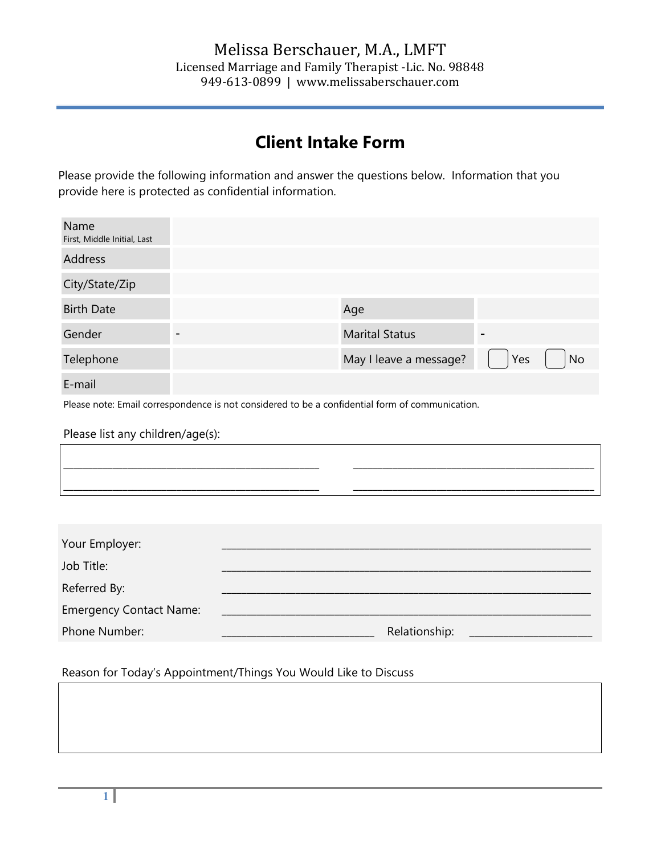# **Client Intake Form**

Please provide the following information and answer the questions below. Information that you provide here is protected as confidential information.

| Name<br>First, Middle Initial, Last                                                             |  |               |     |                        |     |    |
|-------------------------------------------------------------------------------------------------|--|---------------|-----|------------------------|-----|----|
| <b>Address</b>                                                                                  |  |               |     |                        |     |    |
| City/State/Zip                                                                                  |  |               |     |                        |     |    |
| <b>Birth Date</b>                                                                               |  |               | Age |                        |     |    |
| Gender                                                                                          |  |               |     | <b>Marital Status</b>  |     |    |
| Telephone                                                                                       |  |               |     | May I leave a message? | Yes | No |
| E-mail                                                                                          |  |               |     |                        |     |    |
| Please note: Email correspondence is not considered to be a confidential form of communication. |  |               |     |                        |     |    |
| Please list any children/age(s):                                                                |  |               |     |                        |     |    |
|                                                                                                 |  |               |     |                        |     |    |
|                                                                                                 |  |               |     |                        |     |    |
|                                                                                                 |  |               |     |                        |     |    |
| Your Employer:                                                                                  |  |               |     |                        |     |    |
| Job Title:                                                                                      |  |               |     |                        |     |    |
| Referred By:                                                                                    |  |               |     |                        |     |    |
| <b>Emergency Contact Name:</b>                                                                  |  |               |     |                        |     |    |
| Phone Number:                                                                                   |  | Relationship: |     |                        |     |    |

#### Reason for Today's Appointment/Things You Would Like to Discuss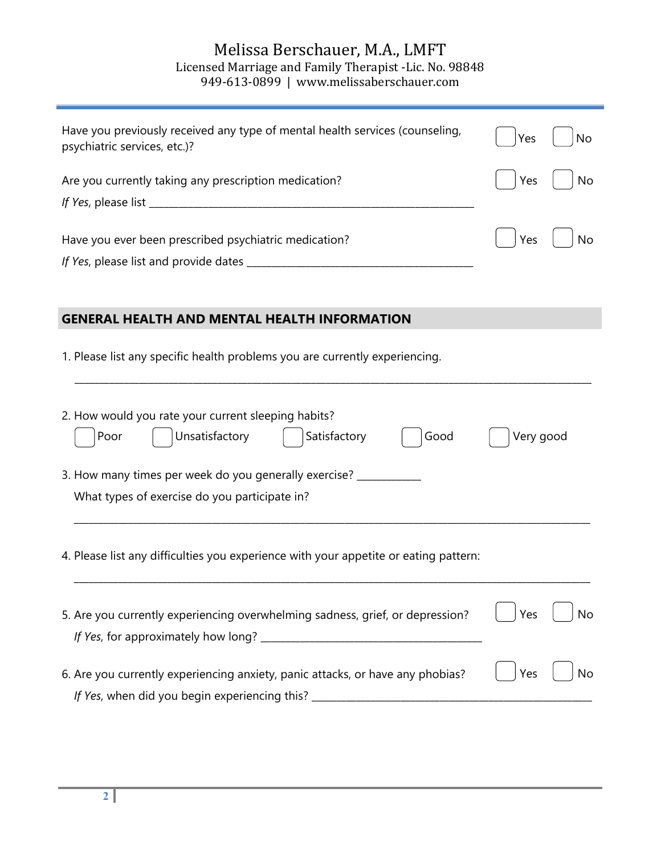## Melissa Berschauer, M.A., LMFT Licensed Marriage and Family Therapist -Lic. No. 98848 949-613-0899 | www.melissaberschauer.com

| Have you previously received any type of mental health services (counseling,<br>psychiatric services, etc.)?                      | Yes<br>No |  |  |  |  |
|-----------------------------------------------------------------------------------------------------------------------------------|-----------|--|--|--|--|
| Are you currently taking any prescription medication?                                                                             | No<br>Yes |  |  |  |  |
|                                                                                                                                   |           |  |  |  |  |
| Have you ever been prescribed psychiatric medication?                                                                             | Yes<br>No |  |  |  |  |
|                                                                                                                                   |           |  |  |  |  |
|                                                                                                                                   |           |  |  |  |  |
|                                                                                                                                   |           |  |  |  |  |
| <b>GENERAL HEALTH AND MENTAL HEALTH INFORMATION</b>                                                                               |           |  |  |  |  |
| 1. Please list any specific health problems you are currently experiencing.                                                       |           |  |  |  |  |
| 2. How would you rate your current sleeping habits?<br>Unsatisfactory<br>Satisfactory<br>Good<br>Poor<br>Very good                |           |  |  |  |  |
| 3. How many times per week do you generally exercise? __________                                                                  |           |  |  |  |  |
| What types of exercise do you participate in?                                                                                     |           |  |  |  |  |
| 4. Please list any difficulties you experience with your appetite or eating pattern:                                              |           |  |  |  |  |
| 5. Are you currently experiencing overwhelming sadness, grief, or depression?                                                     | No<br>Yes |  |  |  |  |
| 6. Are you currently experiencing anxiety, panic attacks, or have any phobias?<br>If Yes, when did you begin experiencing this? _ | Yes<br>No |  |  |  |  |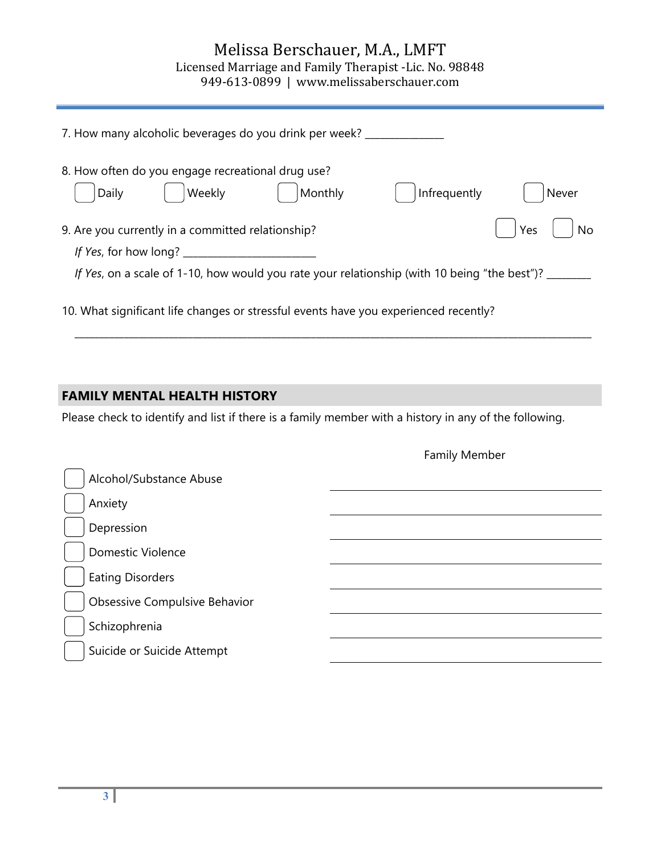# Melissa Berschauer, M.A., LMFT Licensed Marriage and Family Therapist -Lic. No. 98848

949-613-0899 | www.melissaberschauer.com

| 7. How many alcoholic beverages do you drink per week? _____                                                                                                          |       |  |  |  |  |  |
|-----------------------------------------------------------------------------------------------------------------------------------------------------------------------|-------|--|--|--|--|--|
| 8. How often do you engage recreational drug use?<br>Weekly<br>Monthly<br>Infrequently<br>Daily                                                                       | Never |  |  |  |  |  |
| Yes<br><b>No</b><br>9. Are you currently in a committed relationship?<br>If Yes, on a scale of 1-10, how would you rate your relationship (with 10 being "the best")? |       |  |  |  |  |  |
| 10. What significant life changes or stressful events have you experienced recently?                                                                                  |       |  |  |  |  |  |

## **FAMILY MENTAL HEALTH HISTORY**

Please check to identify and list if there is a family member with a history in any of the following.

|                               | <b>COLLING IVICITION</b> |
|-------------------------------|--------------------------|
| Alcohol/Substance Abuse       |                          |
| Anxiety                       |                          |
| Depression                    |                          |
| Domestic Violence             |                          |
| <b>Eating Disorders</b>       |                          |
| Obsessive Compulsive Behavior |                          |
| Schizophrenia                 |                          |
| Suicide or Suicide Attempt    |                          |

Family Member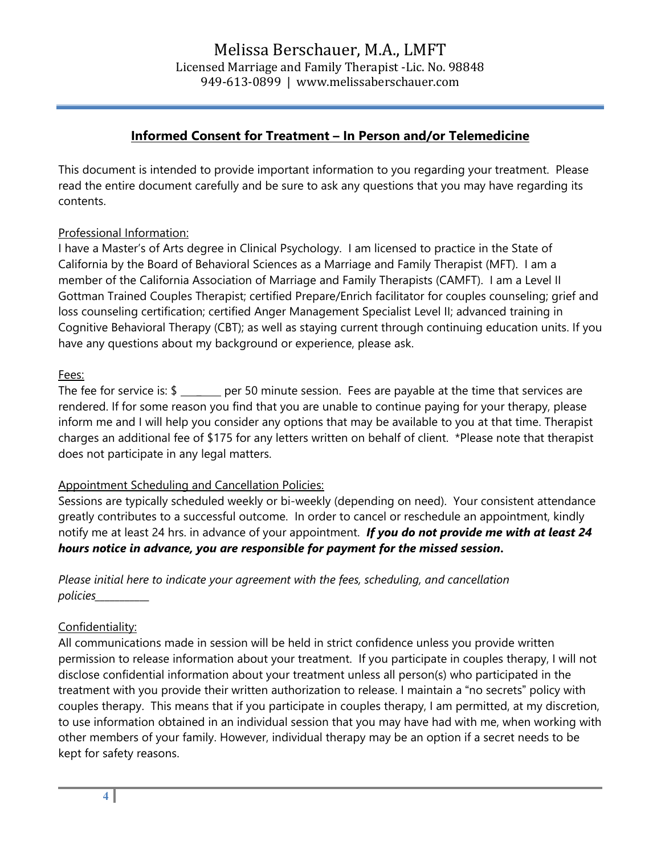### **Informed Consent for Treatment – In Person and/or Telemedicine**

This document is intended to provide important information to you regarding your treatment. Please read the entire document carefully and be sure to ask any questions that you may have regarding its contents.

#### Professional Information:

I have a Master's of Arts degree in Clinical Psychology. I am licensed to practice in the State of California by the Board of Behavioral Sciences as a Marriage and Family Therapist (MFT). I am a member of the California Association of Marriage and Family Therapists (CAMFT). I am a Level II Gottman Trained Couples Therapist; certified Prepare/Enrich facilitator for couples counseling; grief and loss counseling certification; certified Anger Management Specialist Level II; advanced training in Cognitive Behavioral Therapy (CBT); as well as staying current through continuing education units. If you have any questions about my background or experience, please ask.

#### Fees:

The fee for service is:  $\frac{1}{2}$  per 50 minute session. Fees are payable at the time that services are rendered. If for some reason you find that you are unable to continue paying for your therapy, please inform me and I will help you consider any options that may be available to you at that time. Therapist charges an additional fee of \$175 for any letters written on behalf of client. \*Please note that therapist does not participate in any legal matters.

#### Appointment Scheduling and Cancellation Policies:

Sessions are typically scheduled weekly or bi-weekly (depending on need). Your consistent attendance greatly contributes to a successful outcome. In order to cancel or reschedule an appointment, kindly notify me at least 24 hrs. in advance of your appointment. *If you do not provide me with at least 24 hours notice in advance, you are responsible for payment for the missed session***.**

*Please initial here to indicate your agreement with the fees, scheduling, and cancellation policies\_\_\_\_\_\_\_\_\_\_\_* 

#### Confidentiality:

All communications made in session will be held in strict confidence unless you provide written permission to release information about your treatment. If you participate in couples therapy, I will not disclose confidential information about your treatment unless all person(s) who participated in the treatment with you provide their written authorization to release. I maintain a "no secrets" policy with couples therapy. This means that if you participate in couples therapy, I am permitted, at my discretion, to use information obtained in an individual session that you may have had with me, when working with other members of your family. However, individual therapy may be an option if a secret needs to be kept for safety reasons.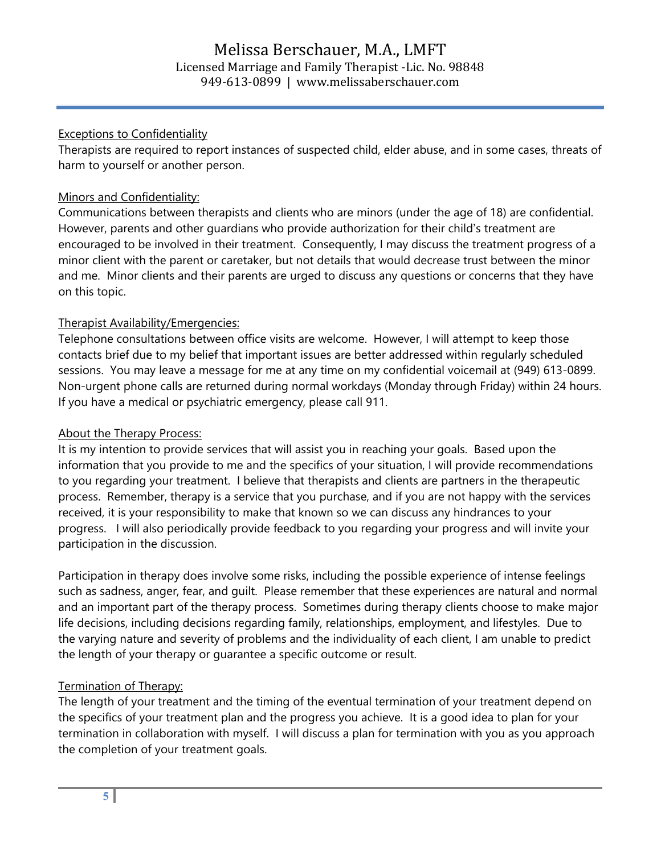#### Exceptions to Confidentiality

Therapists are required to report instances of suspected child, elder abuse, and in some cases, threats of harm to yourself or another person.

#### Minors and Confidentiality:

Communications between therapists and clients who are minors (under the age of 18) are confidential. However, parents and other guardians who provide authorization for their child's treatment are encouraged to be involved in their treatment. Consequently, I may discuss the treatment progress of a minor client with the parent or caretaker, but not details that would decrease trust between the minor and me. Minor clients and their parents are urged to discuss any questions or concerns that they have on this topic.

#### Therapist Availability/Emergencies:

Telephone consultations between office visits are welcome. However, I will attempt to keep those contacts brief due to my belief that important issues are better addressed within regularly scheduled sessions. You may leave a message for me at any time on my confidential voicemail at (949) 613-0899. Non-urgent phone calls are returned during normal workdays (Monday through Friday) within 24 hours. If you have a medical or psychiatric emergency, please call 911.

#### About the Therapy Process:

It is my intention to provide services that will assist you in reaching your goals. Based upon the information that you provide to me and the specifics of your situation, I will provide recommendations to you regarding your treatment. I believe that therapists and clients are partners in the therapeutic process. Remember, therapy is a service that you purchase, and if you are not happy with the services received, it is your responsibility to make that known so we can discuss any hindrances to your progress. I will also periodically provide feedback to you regarding your progress and will invite your participation in the discussion.

Participation in therapy does involve some risks, including the possible experience of intense feelings such as sadness, anger, fear, and guilt. Please remember that these experiences are natural and normal and an important part of the therapy process. Sometimes during therapy clients choose to make major life decisions, including decisions regarding family, relationships, employment, and lifestyles. Due to the varying nature and severity of problems and the individuality of each client, I am unable to predict the length of your therapy or guarantee a specific outcome or result.

#### Termination of Therapy:

The length of your treatment and the timing of the eventual termination of your treatment depend on the specifics of your treatment plan and the progress you achieve. It is a good idea to plan for your termination in collaboration with myself. I will discuss a plan for termination with you as you approach the completion of your treatment goals.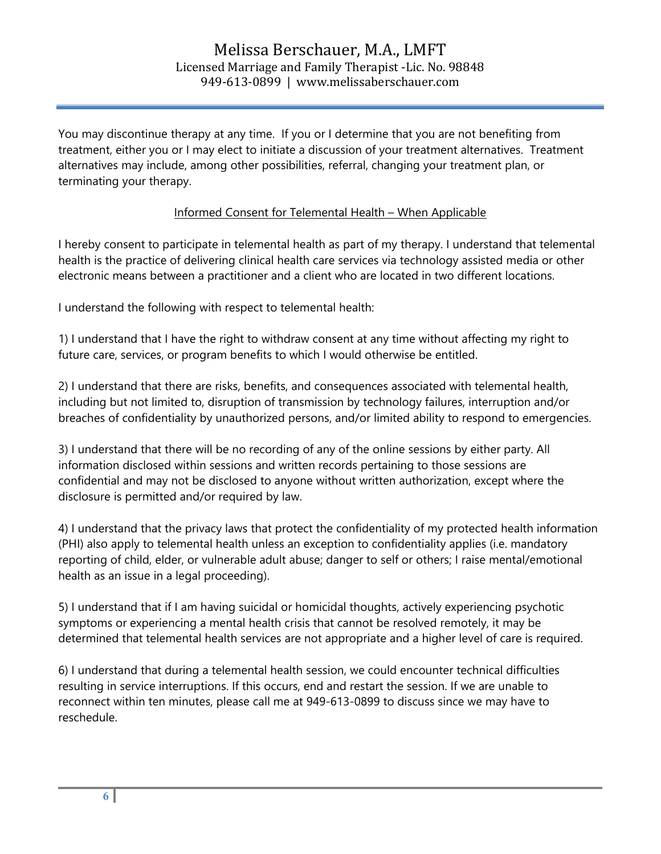You may discontinue therapy at any time. If you or I determine that you are not benefiting from treatment, either you or I may elect to initiate a discussion of your treatment alternatives. Treatment alternatives may include, among other possibilities, referral, changing your treatment plan, or terminating your therapy.

#### Informed Consent for Telemental Health – When Applicable

I hereby consent to participate in telemental health as part of my therapy. I understand that telemental health is the practice of delivering clinical health care services via technology assisted media or other electronic means between a practitioner and a client who are located in two different locations.

I understand the following with respect to telemental health:

1) I understand that I have the right to withdraw consent at any time without affecting my right to future care, services, or program benefits to which I would otherwise be entitled.

2) I understand that there are risks, benefits, and consequences associated with telemental health, including but not limited to, disruption of transmission by technology failures, interruption and/or breaches of confidentiality by unauthorized persons, and/or limited ability to respond to emergencies.

3) I understand that there will be no recording of any of the online sessions by either party. All information disclosed within sessions and written records pertaining to those sessions are confidential and may not be disclosed to anyone without written authorization, except where the disclosure is permitted and/or required by law.

4) I understand that the privacy laws that protect the confidentiality of my protected health information (PHI) also apply to telemental health unless an exception to confidentiality applies (i.e. mandatory reporting of child, elder, or vulnerable adult abuse; danger to self or others; I raise mental/emotional health as an issue in a legal proceeding).

5) I understand that if I am having suicidal or homicidal thoughts, actively experiencing psychotic symptoms or experiencing a mental health crisis that cannot be resolved remotely, it may be determined that telemental health services are not appropriate and a higher level of care is required.

6) I understand that during a telemental health session, we could encounter technical difficulties resulting in service interruptions. If this occurs, end and restart the session. If we are unable to reconnect within ten minutes, please call me at 949-613-0899 to discuss since we may have to reschedule.